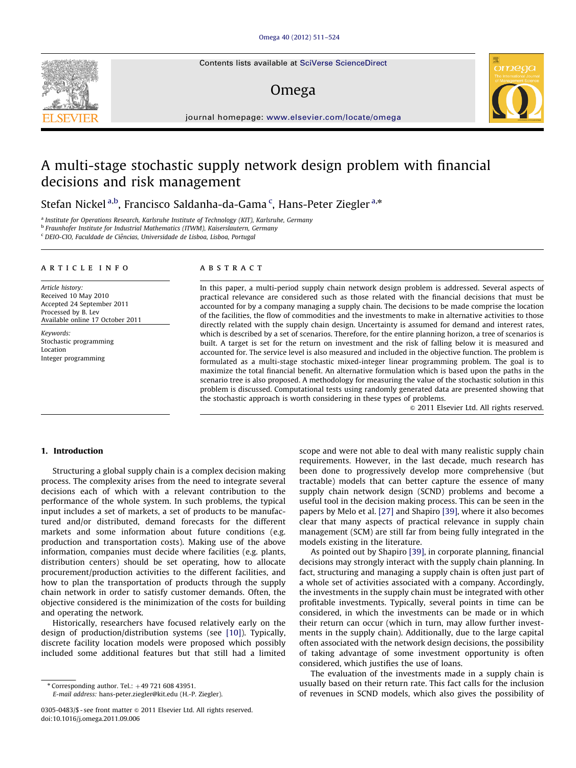Contents lists available at [SciVerse ScienceDirect](www.elsevier.com/locate/omega)

## Omega



journal homepage: <www.elsevier.com/locate/omega>

## A multi-stage stochastic supply network design problem with financial decisions and risk management

Stefan Nickel <sup>a,b</sup>, Francisco Saldanha-da-Gama <sup>c</sup>, Hans-Peter Ziegler <sup>a,</sup>\*

<sup>a</sup> Institute for Operations Research, Karlsruhe Institute of Technology (KIT), Karlsruhe, Germany

b Fraunhofer Institute for Industrial Mathematics (ITWM), Kaiserslautern, Germany

<sup>c</sup> DEIO-CIO, Faculdade de Ciências, Universidade de Lisboa, Lisboa, Portugal

#### article info

Article history: Received 10 May 2010 Accepted 24 September 2011 Processed by B. Lev Available online 17 October 2011

Keywords: Stochastic programming Location Integer programming

#### **ABSTRACT**

In this paper, a multi-period supply chain network design problem is addressed. Several aspects of practical relevance are considered such as those related with the financial decisions that must be accounted for by a company managing a supply chain. The decisions to be made comprise the location of the facilities, the flow of commodities and the investments to make in alternative activities to those directly related with the supply chain design. Uncertainty is assumed for demand and interest rates, which is described by a set of scenarios. Therefore, for the entire planning horizon, a tree of scenarios is built. A target is set for the return on investment and the risk of falling below it is measured and accounted for. The service level is also measured and included in the objective function. The problem is formulated as a multi-stage stochastic mixed-integer linear programming problem. The goal is to maximize the total financial benefit. An alternative formulation which is based upon the paths in the scenario tree is also proposed. A methodology for measuring the value of the stochastic solution in this problem is discussed. Computational tests using randomly generated data are presented showing that the stochastic approach is worth considering in these types of problems.

 $@$  2011 Elsevier Ltd. All rights reserved.

### 1. Introduction

Structuring a global supply chain is a complex decision making process. The complexity arises from the need to integrate several decisions each of which with a relevant contribution to the performance of the whole system. In such problems, the typical input includes a set of markets, a set of products to be manufactured and/or distributed, demand forecasts for the different markets and some information about future conditions (e.g. production and transportation costs). Making use of the above information, companies must decide where facilities (e.g. plants, distribution centers) should be set operating, how to allocate procurement/production activities to the different facilities, and how to plan the transportation of products through the supply chain network in order to satisfy customer demands. Often, the objective considered is the minimization of the costs for building and operating the network.

Historically, researchers have focused relatively early on the design of production/distribution systems (see [\[10\]\)](#page--1-0). Typically, discrete facility location models were proposed which possibly included some additional features but that still had a limited

 $*$  Corresponding author. Tel.:  $+49$  721 608 43951.

E-mail address: [hans-peter.ziegler@kit.edu \(H.-P. Ziegler\).](mailto:hans-peter.ziegler@kit.edu)

scope and were not able to deal with many realistic supply chain requirements. However, in the last decade, much research has been done to progressively develop more comprehensive (but tractable) models that can better capture the essence of many supply chain network design (SCND) problems and become a useful tool in the decision making process. This can be seen in the papers by Melo et al. [\[27\]](#page--1-0) and Shapiro [\[39\]](#page--1-0), where it also becomes clear that many aspects of practical relevance in supply chain management (SCM) are still far from being fully integrated in the models existing in the literature.

As pointed out by Shapiro [\[39\],](#page--1-0) in corporate planning, financial decisions may strongly interact with the supply chain planning. In fact, structuring and managing a supply chain is often just part of a whole set of activities associated with a company. Accordingly, the investments in the supply chain must be integrated with other profitable investments. Typically, several points in time can be considered, in which the investments can be made or in which their return can occur (which in turn, may allow further investments in the supply chain). Additionally, due to the large capital often associated with the network design decisions, the possibility of taking advantage of some investment opportunity is often considered, which justifies the use of loans.

The evaluation of the investments made in a supply chain is usually based on their return rate. This fact calls for the inclusion of revenues in SCND models, which also gives the possibility of



<sup>0305-0483/\$ -</sup> see front matter @ 2011 Elsevier Ltd. All rights reserved. doi:[10.1016/j.omega.2011.09.006](dx.doi.org/10.1016/j.omega.2011.09.006)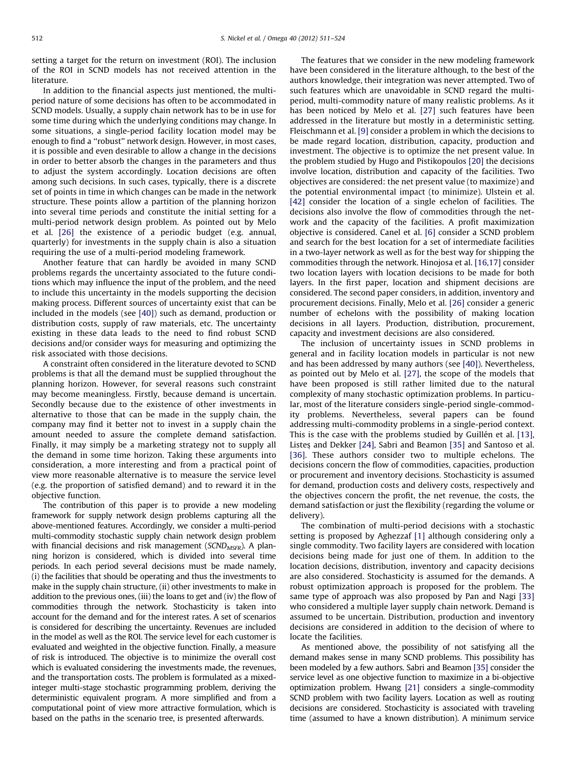setting a target for the return on investment (ROI). The inclusion of the ROI in SCND models has not received attention in the **literature** 

In addition to the financial aspects just mentioned, the multiperiod nature of some decisions has often to be accommodated in SCND models. Usually, a supply chain network has to be in use for some time during which the underlying conditions may change. In some situations, a single-period facility location model may be enough to find a ''robust'' network design. However, in most cases, it is possible and even desirable to allow a change in the decisions in order to better absorb the changes in the parameters and thus to adjust the system accordingly. Location decisions are often among such decisions. In such cases, typically, there is a discrete set of points in time in which changes can be made in the network structure. These points allow a partition of the planning horizon into several time periods and constitute the initial setting for a multi-period network design problem. As pointed out by Melo et al. [\[26\]](#page--1-0) the existence of a periodic budget (e.g. annual, quarterly) for investments in the supply chain is also a situation requiring the use of a multi-period modeling framework.

Another feature that can hardly be avoided in many SCND problems regards the uncertainty associated to the future conditions which may influence the input of the problem, and the need to include this uncertainty in the models supporting the decision making process. Different sources of uncertainty exist that can be included in the models (see [\[40\]](#page--1-0)) such as demand, production or distribution costs, supply of raw materials, etc. The uncertainty existing in these data leads to the need to find robust SCND decisions and/or consider ways for measuring and optimizing the risk associated with those decisions.

A constraint often considered in the literature devoted to SCND problems is that all the demand must be supplied throughout the planning horizon. However, for several reasons such constraint may become meaningless. Firstly, because demand is uncertain. Secondly because due to the existence of other investments in alternative to those that can be made in the supply chain, the company may find it better not to invest in a supply chain the amount needed to assure the complete demand satisfaction. Finally, it may simply be a marketing strategy not to supply all the demand in some time horizon. Taking these arguments into consideration, a more interesting and from a practical point of view more reasonable alternative is to measure the service level (e.g. the proportion of satisfied demand) and to reward it in the objective function.

The contribution of this paper is to provide a new modeling framework for supply network design problems capturing all the above-mentioned features. Accordingly, we consider a multi-period multi-commodity stochastic supply chain network design problem with financial decisions and risk management ( $SCND<sub>MSFR</sub>$ ). A planning horizon is considered, which is divided into several time periods. In each period several decisions must be made namely, (i) the facilities that should be operating and thus the investments to make in the supply chain structure, (ii) other investments to make in addition to the previous ones, (iii) the loans to get and (iv) the flow of commodities through the network. Stochasticity is taken into account for the demand and for the interest rates. A set of scenarios is considered for describing the uncertainty. Revenues are included in the model as well as the ROI. The service level for each customer is evaluated and weighted in the objective function. Finally, a measure of risk is introduced. The objective is to minimize the overall cost which is evaluated considering the investments made, the revenues, and the transportation costs. The problem is formulated as a mixedinteger multi-stage stochastic programming problem, deriving the deterministic equivalent program. A more simplified and from a computational point of view more attractive formulation, which is based on the paths in the scenario tree, is presented afterwards.

The features that we consider in the new modeling framework have been considered in the literature although, to the best of the authors knowledge, their integration was never attempted. Two of such features which are unavoidable in SCND regard the multiperiod, multi-commodity nature of many realistic problems. As it has been noticed by Melo et al. [\[27\]](#page--1-0) such features have been addressed in the literature but mostly in a deterministic setting. Fleischmann et al. [\[9\]](#page--1-0) consider a problem in which the decisions to be made regard location, distribution, capacity, production and investment. The objective is to optimize the net present value. In the problem studied by Hugo and Pistikopoulos [\[20\]](#page--1-0) the decisions involve location, distribution and capacity of the facilities. Two objectives are considered: the net present value (to maximize) and the potential environmental impact (to minimize). Ulstein et al. [\[42\]](#page--1-0) consider the location of a single echelon of facilities. The decisions also involve the flow of commodities through the network and the capacity of the facilities. A profit maximization objective is considered. Canel et al. [\[6\]](#page--1-0) consider a SCND problem and search for the best location for a set of intermediate facilities in a two-layer network as well as for the best way for shipping the commodities through the network. Hinojosa et al. [\[16,17](#page--1-0)] consider two location layers with location decisions to be made for both layers. In the first paper, location and shipment decisions are considered. The second paper considers, in addition, inventory and procurement decisions. Finally, Melo et al. [\[26\]](#page--1-0) consider a generic number of echelons with the possibility of making location decisions in all layers. Production, distribution, procurement, capacity and investment decisions are also considered.

The inclusion of uncertainty issues in SCND problems in general and in facility location models in particular is not new and has been addressed by many authors (see [\[40\]](#page--1-0)). Nevertheless, as pointed out by Melo et al. [\[27\],](#page--1-0) the scope of the models that have been proposed is still rather limited due to the natural complexity of many stochastic optimization problems. In particular, most of the literature considers single-period single-commodity problems. Nevertheless, several papers can be found addressing multi-commodity problems in a single-period context. This is the case with the problems studied by Guillén et al. [\[13\],](#page--1-0) Listes and Dekker [\[24\]](#page--1-0), Sabri and Beamon [\[35\]](#page--1-0) and Santoso et al. [\[36\]](#page--1-0). These authors consider two to multiple echelons. The decisions concern the flow of commodities, capacities, production or procurement and inventory decisions. Stochasticity is assumed for demand, production costs and delivery costs, respectively and the objectives concern the profit, the net revenue, the costs, the demand satisfaction or just the flexibility (regarding the volume or delivery).

The combination of multi-period decisions with a stochastic setting is proposed by Aghezzaf [\[1\]](#page--1-0) although considering only a single commodity. Two facility layers are considered with location decisions being made for just one of them. In addition to the location decisions, distribution, inventory and capacity decisions are also considered. Stochasticity is assumed for the demands. A robust optimization approach is proposed for the problem. The same type of approach was also proposed by Pan and Nagi [\[33\]](#page--1-0) who considered a multiple layer supply chain network. Demand is assumed to be uncertain. Distribution, production and inventory decisions are considered in addition to the decision of where to locate the facilities.

As mentioned above, the possibility of not satisfying all the demand makes sense in many SCND problems. This possibility has been modeled by a few authors. Sabri and Beamon [\[35\]](#page--1-0) consider the service level as one objective function to maximize in a bi-objective optimization problem. Hwang [\[21\]](#page--1-0) considers a single-commodity SCND problem with two facility layers. Location as well as routing decisions are considered. Stochasticity is associated with traveling time (assumed to have a known distribution). A minimum service